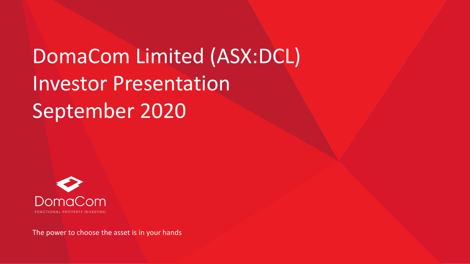DomaCom Limited (ASX:DCL) Investor Presentation September 2020



The power to choose the asset is in your hands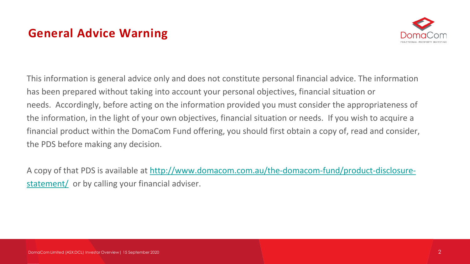# **General Advice Warning**



This information is general advice only and does not constitute personal financial advice. The information has been prepared without taking into account your personal objectives, financial situation or needs. Accordingly, before acting on the information provided you must consider the appropriateness of the information, in the light of your own objectives, financial situation or needs. If you wish to acquire a financial product within the DomaCom Fund offering, you should first obtain a copy of, read and consider, the PDS before making any decision.

[A copy of that PDS is available at http://www.domacom.com.au/the-domacom-fund/product-disclosure](https://domacom.com.au/the-domacom-fund/product-disclosure-statement/)statement/ or by calling your financial adviser.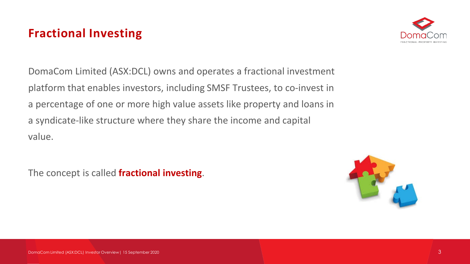# **Fractional Investing**



DomaCom Limited (ASX:DCL) owns and operates a fractional investment platform that enables investors, including SMSF Trustees, to co-invest in a percentage of one or more high value assets like property and loans in a syndicate-like structure where they share the income and capital value.

The concept is called **fractional investing**.

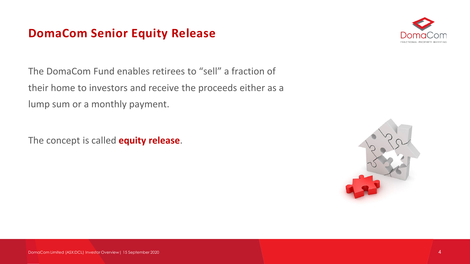### **DomaCom Senior Equity Release**



The DomaCom Fund enables retirees to "sell" a fraction of their home to investors and receive the proceeds either as a lump sum or a monthly payment.

The concept is called **equity release**.

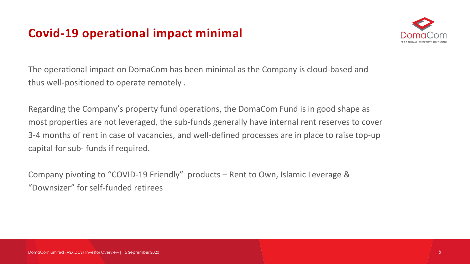# **Covid-19 operational impact minimal**



The operational impact on DomaCom has been minimal as the Company is cloud-based and thus well-positioned to operate remotely .

Regarding the Company's property fund operations, the DomaCom Fund is in good shape as most properties are not leveraged, the sub-funds generally have internal rent reserves to cover 3-4 months of rent in case of vacancies, and well-defined processes are in place to raise top-up capital for sub- funds if required.

Company pivoting to "COVID-19 Friendly" products – Rent to Own, Islamic Leverage & "Downsizer" for self-funded retirees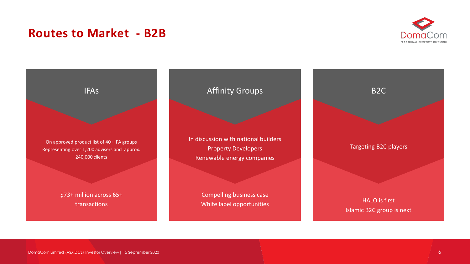### **Routes to Market - B2B**





DomaCom Limited (ASX:DCL) Investor Overview| 15 September 2020 6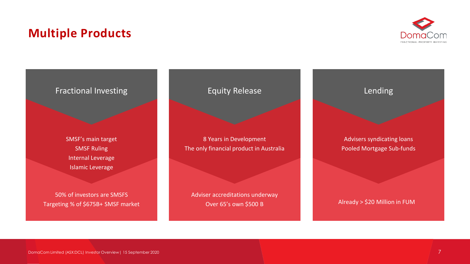## **Multiple Products**



#### Fractional Investing

SMSF's main target SMSF Ruling Internal Leverage Islamic Leverage

50% of investors are SMSFS Targeting % of \$675B+ SMSF market

#### Equity Release

8 Years in Development The only financial product in Australia

Adviser accreditations underway Over 65's own \$500 B

#### Lending

Advisers syndicating loans Pooled Mortgage Sub-funds

Already > \$20 Million in FUM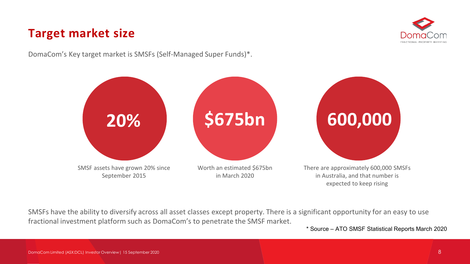## **Target market size**



DomaCom's Key target market is SMSFs (Self-Managed Super Funds)\*.



SMSFs have the ability to diversify across all asset classes except property. There is a significant opportunity for an easy to use fractional investment platform such as DomaCom's to penetrate the SMSF market.

\* Source – ATO SMSF Statistical Reports March 2020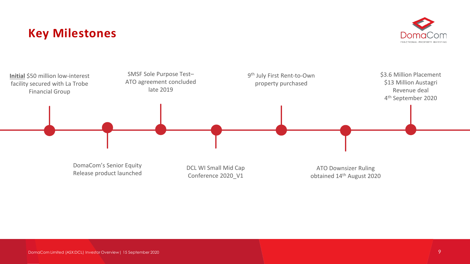### **Key Milestones**



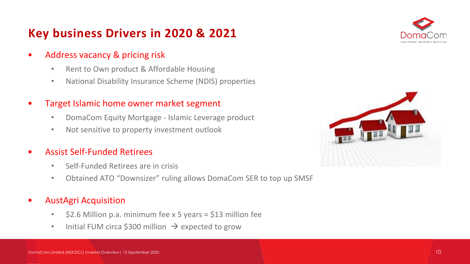# **Key business Drivers in 2020 & 2021**



- Address vacancy & pricing risk
	- Rent to Own product & Affordable Housing
	- National Disability Insurance Scheme (NDIS) properties
- Target Islamic home owner market segment
	- DomaCom Equity Mortgage Islamic Leverage product
	- Not sensitive to property investment outlook
- Assist Self-Funded Retirees
	- Self-Funded Retirees are in crisis
	- Obtained ATO "Downsizer" ruling allows DomaCom SER to top up SMSF
- AustAgri Acquisition
	- \$2.6 Million p.a. minimum fee x 5 years = \$13 million fee
	- Initial FUM circa \$300 million  $\rightarrow$  expected to grow

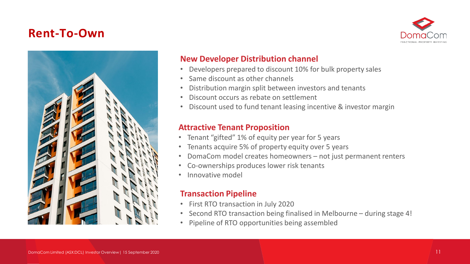### **Rent-To-Own**





#### **New Developer Distribution channel**

- Developers prepared to discount 10% for bulk property sales
- Same discount as other channels
- Distribution margin split between investors and tenants
- Discount occurs as rebate on settlement
- Discount used to fund tenant leasing incentive & investor margin

#### **Attractive Tenant Proposition**

- Tenant "gifted" 1% of equity per year for 5 years
- Tenants acquire 5% of property equity over 5 years
- DomaCom model creates homeowners not just permanent renters
- Co-ownerships produces lower risk tenants
- Innovative model

#### **Transaction Pipeline**

- First RTO transaction in July 2020
- Second RTO transaction being finalised in Melbourne during stage 4!
- Pipeline of RTO opportunities being assembled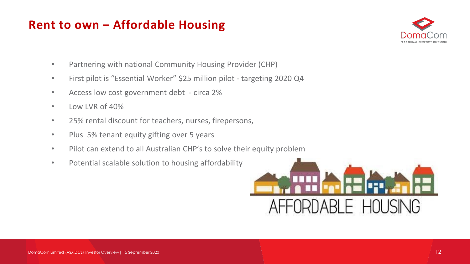## **Rent to own – Affordable Housing**



- Partnering with national Community Housing Provider (CHP)
- First pilot is "Essential Worker" \$25 million pilot targeting 2020 Q4
- Access low cost government debt circa 2%
- Low LVR of 40%
- 25% rental discount for teachers, nurses, firepersons,
- Plus 5% tenant equity gifting over 5 years
- Pilot can extend to all Australian CHP's to solve their equity problem
- Potential scalable solution to housing affordability

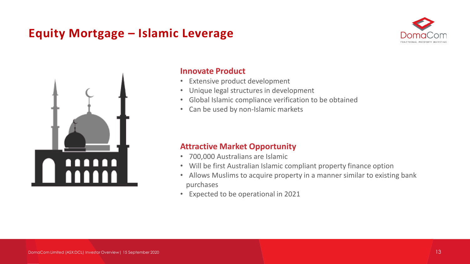# **Equity Mortgage – Islamic Leverage**





#### **Innovate Product**

- Extensive product development
- Unique legal structures in development
- Global Islamic compliance verification to be obtained
- Can be used by non-Islamic markets

#### **Attractive Market Opportunity**

- 700,000 Australians are Islamic
- Will be first Australian Islamic compliant property finance option
- Allows Muslims to acquire property in a manner similar to existing bank purchases
- Expected to be operational in 2021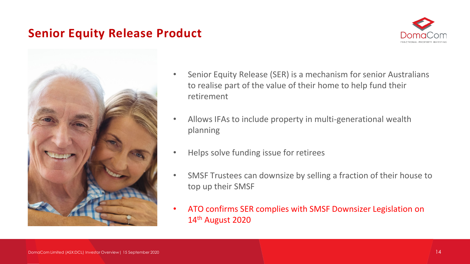### **Senior Equity Release Product**





- Senior Equity Release (SER) is a mechanism for senior Australians to realise part of the value of their home to help fund their retirement
- Allows IFAs to include property in multi-generational wealth planning
- Helps solve funding issue for retirees
- SMSF Trustees can downsize by selling a fraction of their house to top up their SMSF
- ATO confirms SER complies with SMSF Downsizer Legislation on 14th August 2020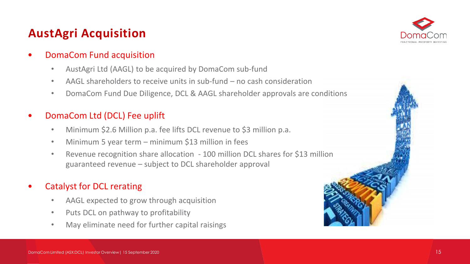# **AustAgri Acquisition**



#### • DomaCom Fund acquisition

- AustAgri Ltd (AAGL) to be acquired by DomaCom sub-fund
- AAGL shareholders to receive units in sub-fund no cash consideration
- DomaCom Fund Due Diligence, DCL & AAGL shareholder approvals are conditions

#### • DomaCom Ltd (DCL) Fee uplift

- Minimum \$2.6 Million p.a. fee lifts DCL revenue to \$3 million p.a.
- Minimum 5 year term minimum \$13 million in fees
- Revenue recognition share allocation 100 million DCL shares for \$13 million guaranteed revenue – subject to DCL shareholder approval

#### • Catalyst for DCL rerating

- AAGL expected to grow through acquisition
- Puts DCL on pathway to profitability
- May eliminate need for further capital raisings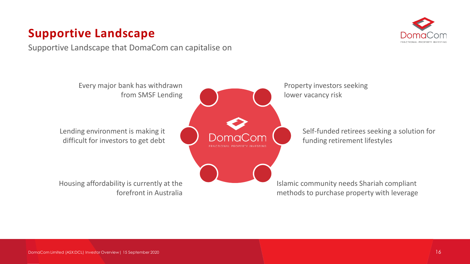# **Supportive Landscape**

Supportive Landscape that DomaCom can capitalise on



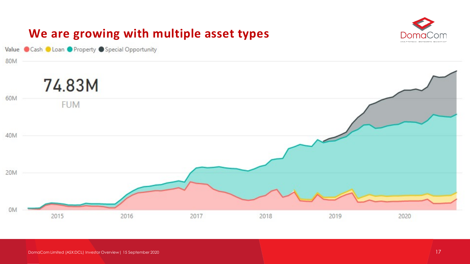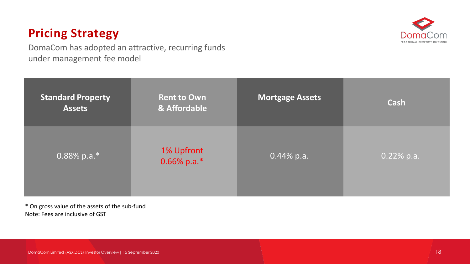# **Pricing Strategy**



DomaCom has adopted an attractive, recurring funds under management fee model

| <b>Standard Property</b><br><b>Assets</b> | <b>Rent to Own</b><br>& Affordable | <b>Mortgage Assets</b> | <b>Cash</b>  |
|-------------------------------------------|------------------------------------|------------------------|--------------|
| $0.88\%$ p.a.*                            | 1% Upfront<br>0.66% p.a.*          | $0.44\%$ p.a.          | $0.22%$ p.a. |

\* On gross value of the assets of the sub-fund Note: Fees are inclusive of GST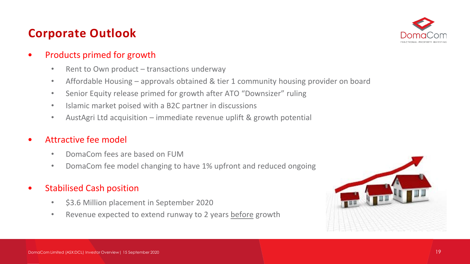# **Corporate Outlook**



#### • Products primed for growth

- Rent to Own product transactions underway
- Affordable Housing approvals obtained & tier 1 community housing provider on board
- Senior Equity release primed for growth after ATO "Downsizer" ruling
- Islamic market poised with a B2C partner in discussions
- AustAgri Ltd acquisition immediate revenue uplift & growth potential

#### • Attractive fee model

- DomaCom fees are based on FUM
- DomaCom fee model changing to have 1% upfront and reduced ongoing
- Stabilised Cash position
	- \$3.6 Million placement in September 2020
	- Revenue expected to extend runway to 2 years before growth

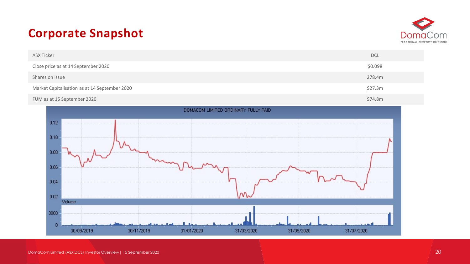# **Corporate Snapshot**



| ASX Ticker                                    | <b>DCL</b> |
|-----------------------------------------------|------------|
| Close price as at 14 September 2020           | \$0.098    |
| Shares on issue                               | 278.4m     |
| Market Capitalisation as at 14 September 2020 | \$27.3m    |
| FUM as at 15 September 2020                   | \$74.8m    |